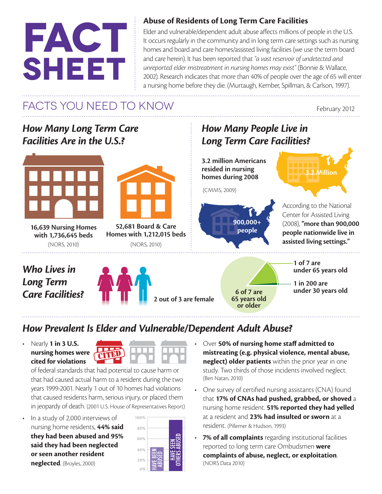# **fact sheet**

#### **Abuse of Residents of Long Term Care Facilities**

Elder and vulnerable/dependent adult abuse affects millions of people in the U.S. It occurs regularly in the community and in long term care settings such as nursing homes and board and care homes/assisted living facilities (we use the term board and care herein). It has been reported that *"a vast reservoir of undetected and unreported elder mistreatment in nursing homes may exist"* (Bonnie & Wallace, 2002). Research indicates that more than 40% of people over the age of 65 will enter a nursing home before they die. (Murtaugh, Kember, Spillman, & Carlson, 1997).

# FACTS YOU NEED TO KNOW

February 2012

#### *How Many Long Term Care Facilities Are in the U.S.?*





**52,681 Board & Care Homes with 1,212,015 beds**

**16,639 Nursing Homes with 1,736,645 beds** (NORS, 2010) (NORS, 2010)

#### *Who Lives in Long Term Care Facilities?*



### *How Many People Live in Long Term Care Facilities?*

**3.2 million Americans resided in nursing homes during 2008**

(CMMS, 2009)



**65 years old or older**



3.2 Million

**1 of 7 are under 65 years old**

**1 in 200 are 6 of 7 are under 30 years old**

## *How Prevalent Is Elder and Vulnerable/Dependent Adult Abuse?*

• Nearly **1 in 3 U.S. nursing homes were cited for violations** 



of federal standards that had potential to cause harm or that had caused actual harm to a resident during the two years 1999-2001. Nearly 1 out of 10 homes had violations that caused residents harm, serious injury, or placed them in jeopardy of death. (2001 U.S. House of Representatives Report)

• In a study of 2,000 interviews of nursing home residents, **44% said they had been abused and 95% said they had been neglected or seen another resident neglected**. (Broyles, 2000)



- Over **50% of nursing home staff admitted to mistreating (e.g. physical violence, mental abuse, neglect) older patients** within the prior year in one study. Two thirds of those incidents involved neglect. (Ben Natan, 2010)
- One survey of certified nursing assistants (CNA) found that **17% of CNAs had pushed, grabbed, or shoved** a nursing home resident. **51% reported they had yelled**  at a resident and **23% had insulted or sworn** at a resident. (Pillemer & Hudson, 1993)
- • **7% of all complaints** regarding institutional facilities reported to long term care Ombudsmen **were complaints of abuse, neglect, or exploitation**. (NORS Data 2010)